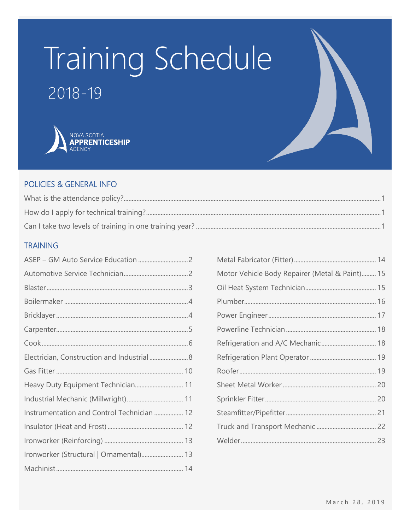# Training Schedule

### $2018 - 19$



#### POLICIES & GENERAL INFO

#### **TRAINING**

| Electrician, Construction and Industrial 8 |  |
|--------------------------------------------|--|
|                                            |  |
| Heavy Duty Equipment Technician 11         |  |
|                                            |  |
| Instrumentation and Control Technician  12 |  |
|                                            |  |
|                                            |  |
| Ironworker (Structural   Ornamental) 13    |  |
|                                            |  |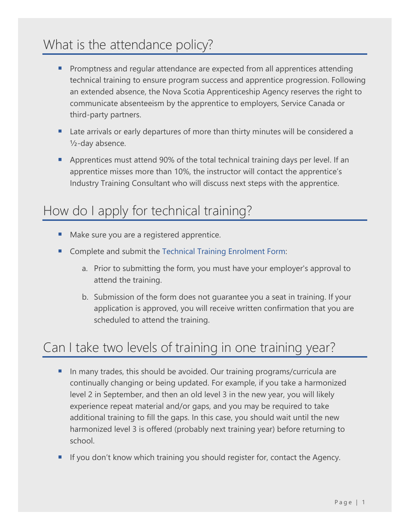### <span id="page-1-0"></span>What is the attendance policy?

- **•** Promptness and regular attendance are expected from all apprentices attending technical training to ensure program success and apprentice progression. Following an extended absence, the Nova Scotia Apprenticeship Agency reserves the right to communicate absenteeism by the apprentice to employers, Service Canada or third-party partners.
- Late arrivals or early departures of more than thirty minutes will be considered a ½-day absence.
- Apprentices must attend 90% of the total technical training days per level. If an apprentice misses more than 10%, the instructor will contact the apprentice's Industry Training Consultant who will discuss next steps with the apprentice.

### <span id="page-1-1"></span>How do I apply for technical training?

- Make sure you are a registered apprentice.
- Complete and submit the [Technical Training Enrolment Form:](https://nsapprenticeship.ca/agency/forms-publications#accordion1)
	- a. Prior to submitting the form, you must have your employer's approval to attend the training.
	- b. Submission of the form does not guarantee you a seat in training. If your application is approved, you will receive written confirmation that you are scheduled to attend the training.

### <span id="page-1-2"></span>Can I take two levels of training in one training year?

- In many trades, this should be avoided. Our training programs/curricula are continually changing or being updated. For example, if you take a harmonized level 2 in September, and then an old level 3 in the new year, you will likely experience repeat material and/or gaps, and you may be required to take additional training to fill the gaps. In this case, you should wait until the new harmonized level 3 is offered (probably next training year) before returning to school.
- If you don't know which training you should register for, contact the Agency.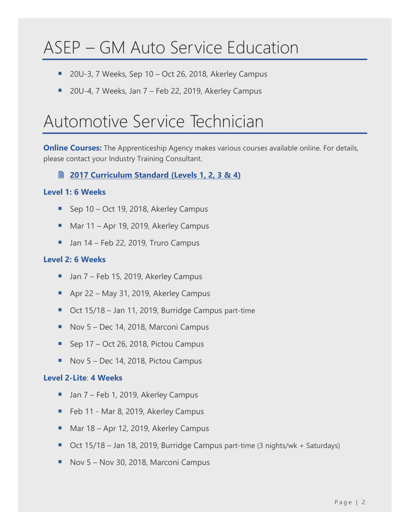# <span id="page-2-0"></span>ASEP – GM Auto Service Education

- 20U-3, 7 Weeks, Sep 10 Oct 26, 2018, Akerley Campus
- 20U-4, 7 Weeks, Jan 7 Feb 22, 2019, Akerley Campus

### <span id="page-2-1"></span>Automotive Service Technician

**Online Courses:** The Apprenticeship Agency makes various courses available online. For details, please contact your Industry Training Consultant.

**2017 [Curriculum Standard \(Levels 1, 2, 3 & 4\)](https://www.nsapprenticeship.ca/sites/default/files/docs/pubs/ASTNACS.pdf)**

#### **Level 1: 6 Weeks**

- Sep 10 Oct 19, 2018, Akerley Campus
- Mar  $11 -$  Apr 19, 2019, Akerley Campus
- Jan 14 Feb 22, 2019, Truro Campus

#### **Level 2: 6 Weeks**

- Jan 7 Feb 15, 2019, Akerley Campus
- Apr 22 May 31, 2019, Akerley Campus
- Oct 15/18 Jan 11, 2019, Burridge Campus part-time
- Nov 5 Dec 14, 2018, Marconi Campus
- **Sep 17 Oct 26, 2018, Pictou Campus**
- Nov 5 Dec 14, 2018, Pictou Campus

#### **Level 2-Lite**: **4 Weeks**

- Jan 7 Feb 1, 2019, Akerley Campus
- Feb 11 Mar 8, 2019, Akerley Campus
- Mar 18 Apr 12, 2019, Akerley Campus
- Oct 15/18 Jan 18, 2019, Burridge Campus part-time (3 nights/wk + Saturdays)
- Nov 5 Nov 30, 2018, Marconi Campus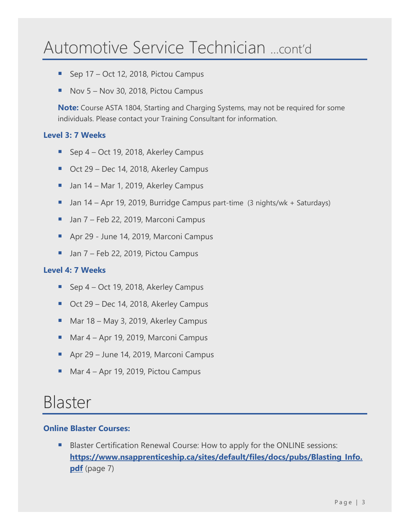### Automotive Service Technician …cont'd

- Sep 17 Oct 12, 2018, Pictou Campus
- Nov  $5 -$  Nov 30, 2018, Pictou Campus

**Note:** Course ASTA 1804, Starting and Charging Systems, may not be required for some individuals. Please contact your Training Consultant for information.

#### **Level 3: 7 Weeks**

- Sep 4 Oct 19, 2018, Akerley Campus
- Oct 29 Dec 14, 2018, Akerley Campus
- Jan 14 Mar 1, 2019, Akerley Campus
- Jan 14 Apr 19, 2019, Burridge Campus part-time (3 nights/wk + Saturdays)
- Jan 7 Feb 22, 2019, Marconi Campus
- Apr 29 June 14, 2019, Marconi Campus
- Jan 7 Feb 22, 2019, Pictou Campus

#### **Level 4: 7 Weeks**

- Sep 4 Oct 19, 2018, Akerley Campus
- Oct 29 Dec 14, 2018, Akerley Campus
- Mar 18 May 3, 2019, Akerley Campus
- Mar 4 Apr 19, 2019, Marconi Campus
- Apr 29 June 14, 2019, Marconi Campus
- Mar  $4 -$  Apr 19, 2019, Pictou Campus

### <span id="page-3-0"></span>Blaster

#### **Online Blaster Courses:**

Blaster Certification Renewal Course: How to apply for the ONLINE sessions: **[https://www.nsapprenticeship.ca/sites/default/files/docs/pubs/Blasting\\_Info.](https://www.nsapprenticeship.ca/sites/default/files/docs/pubs/Blasting_Info.pdf) [pdf](https://www.nsapprenticeship.ca/sites/default/files/docs/pubs/Blasting_Info.pdf)** (page 7)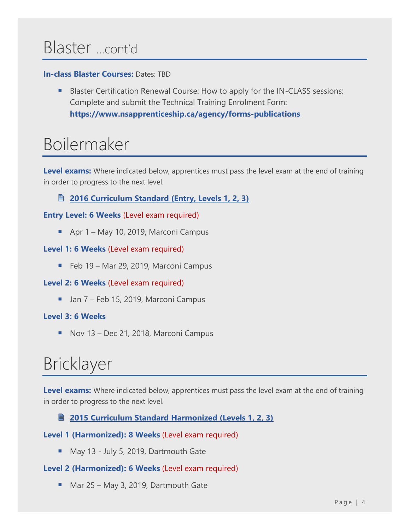### Blaster …cont'd

#### **In-class Blaster Courses:** Dates: TBD

Blaster Certification Renewal Course: How to apply for the IN-CLASS sessions: Complete and submit the Technical Training Enrolment Form: **[https://www.nsapprenticeship.ca/agency/forms-publications](https://www.nsapprenticeship.ca/agency/forms-publications#accordion1)**

### <span id="page-4-0"></span>Boilermaker

**Level exams:** Where indicated below, apprentices must pass the level exam at the end of training in order to progress to the next level.

#### **<u> [2016 Curriculum Standard \(Entry, Levels 1, 2, 3\)](https://www.nsapprenticeship.ca/sites/default/files/docs/pubs/BACS.pdf)</u></u>**

#### **Entry Level: 6 Weeks** (Level exam required)

■ Apr 1 – May 10, 2019, Marconi Campus

#### **Level 1: 6 Weeks** (Level exam required)

■ Feb 19 – Mar 29, 2019, Marconi Campus

#### **Level 2: 6 Weeks** (Level exam required)

■ Jan 7 – Feb 15, 2019, Marconi Campus

#### **Level 3: 6 Weeks**

■ Nov 13 – Dec 21, 2018, Marconi Campus

# <span id="page-4-1"></span>Bricklayer

Level exams: Where indicated below, apprentices must pass the level exam at the end of training in order to progress to the next level.

#### **[2015 Curriculum Standard Harmonized \(Levels 1, 2, 3\)](https://nsapprenticeship.ca/sites/default/files/docs/pubs/BrickAACS.pdf)**

#### **Level 1 (Harmonized): 8 Weeks** (Level exam required)

■ May 13 - July 5, 2019, Dartmouth Gate

#### **Level 2 (Harmonized): 6 Weeks** (Level exam required)

■ Mar 25 – May 3, 2019, Dartmouth Gate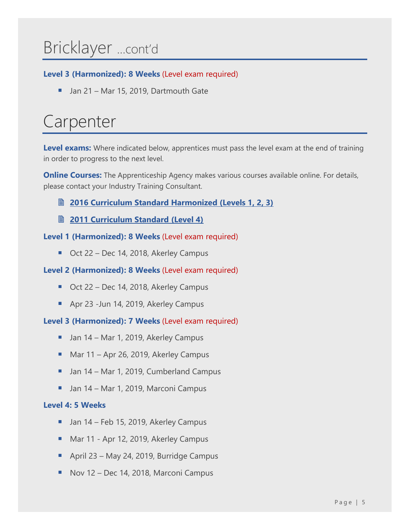# Bricklayer …cont'd

#### **Level 3 (Harmonized): 8 Weeks** (Level exam required)

■ Jan 21 – Mar 15, 2019, Dartmouth Gate

# <span id="page-5-0"></span>Carpenter

**Level exams:** Where indicated below, apprentices must pass the level exam at the end of training in order to progress to the next level.

**Online Courses:** The Apprenticeship Agency makes various courses available online. For details, please contact your Industry Training Consultant.

- **2016 [Curriculum Standard Harmonized \(Levels 1, 2, 3\)](https://nsapprenticeship.ca/sites/default/files/docs/pubs/CarpAACS.pdf)**
- **2011 [Curriculum Standard \(Level 4\)](https://nsapprenticeship.ca/sites/default/files/docs/pubs/CarpIPG.pdf)**

#### **Level 1 (Harmonized): 8 Weeks** (Level exam required)

■ Oct 22 – Dec 14, 2018, Akerley Campus

#### **Level 2 (Harmonized): 8 Weeks** (Level exam required)

- Oct 22 Dec 14, 2018, Akerley Campus
- Apr 23 -Jun 14, 2019, Akerley Campus

**Level 3 (Harmonized): 7 Weeks** (Level exam required)

- Jan 14 Mar 1, 2019, Akerley Campus
- Mar 11 Apr 26, 2019, Akerley Campus
- Jan 14 Mar 1, 2019, Cumberland Campus
- Jan 14 Mar 1, 2019, Marconi Campus

#### **Level 4: 5 Weeks**

- Jan 14 Feb 15, 2019, Akerley Campus
- Mar 11 Apr 12, 2019, Akerley Campus
- April 23 May 24, 2019, Burridge Campus
- Nov 12 Dec 14, 2018, Marconi Campus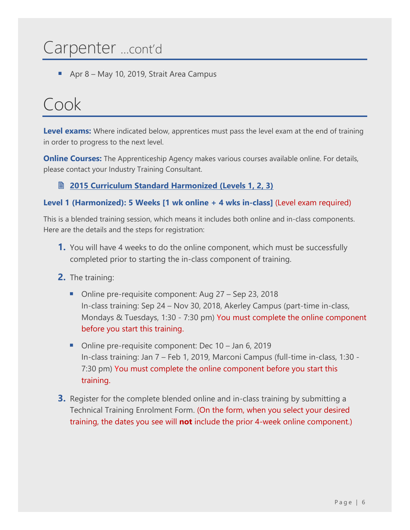### Carpenter …cont'd

Apr  $8$  – May 10, 2019, Strait Area Campus

### <span id="page-6-0"></span>Cook

**Level exams:** Where indicated below, apprentices must pass the level exam at the end of training in order to progress to the next level.

**Online Courses:** The Apprenticeship Agency makes various courses available online. For details, please contact your Industry Training Consultant.

#### **2015 [Curriculum Standard Harmonized \(Levels 1, 2, 3\)](https://nsapprenticeship.ca/sites/default/files/docs/pubs/CookAACS.pdf)**

#### **Level 1 (Harmonized): 5 Weeks [1 wk online + 4 wks in-class]** (Level exam required)

This is a blended training session, which means it includes both online and in-class components. Here are the details and the steps for registration:

- **1.** You will have 4 weeks to do the online component, which must be successfully completed prior to starting the in-class component of training.
- **2.** The training:
	- Online pre-requisite component: Aug 27 Sep 23, 2018 In-class training: Sep 24 – Nov 30, 2018, Akerley Campus (part-time in-class, Mondays & Tuesdays, 1:30 - 7:30 pm) You must complete the online component before you start this training.
	- Online pre-requisite component: Dec 10 Jan 6, 2019 In-class training: Jan 7 – Feb 1, 2019, Marconi Campus (full-time in-class, 1:30 - 7:30 pm) You must complete the online component before you start this training.
- **3.** Register for the complete blended online and in-class training by submitting a Technical Training Enrolment Form. (On the form, when you select your desired training, the dates you see will **not** include the prior 4-week online component.)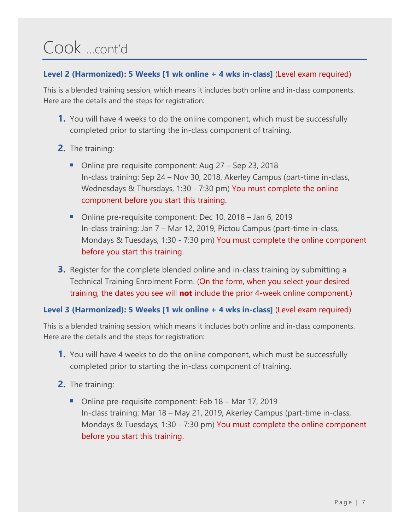# Cook …cont'd

#### **Level 2 (Harmonized): 5 Weeks [1 wk online + 4 wks in-class]** (Level exam required)

This is a blended training session, which means it includes both online and in-class components. Here are the details and the steps for registration:

- **1.** You will have 4 weeks to do the online component, which must be successfully completed prior to starting the in-class component of training.
- **2.** The training:
	- Online pre-requisite component: Aug 27 Sep 23, 2018 In-class training: Sep 24 – Nov 30, 2018, Akerley Campus (part-time in-class, Wednesdays & Thursdays, 1:30 - 7:30 pm) You must complete the online component before you start this training.
	- Online pre-requisite component: Dec 10, 2018 Jan 6, 2019 In-class training: Jan 7 – Mar 12, 2019, Pictou Campus (part-time in-class, Mondays & Tuesdays, 1:30 - 7:30 pm) You must complete the online component before you start this training.
- **3.** Register for the complete blended online and in-class training by submitting a Technical Training Enrolment Form. (On the form, when you select your desired training, the dates you see will **not** include the prior 4-week online component.)

#### **Level 3 (Harmonized): 5 Weeks [1 wk online + 4 wks in-class]** (Level exam required)

This is a blended training session, which means it includes both online and in-class components. Here are the details and the steps for registration:

- **1.** You will have 4 weeks to do the online component, which must be successfully completed prior to starting the in-class component of training.
- **2.** The training:
	- Online pre-requisite component: Feb 18 Mar 17, 2019 In-class training: Mar 18 – May 21, 2019, Akerley Campus (part-time in-class, Mondays & Tuesdays, 1:30 - 7:30 pm) You must complete the online component before you start this training.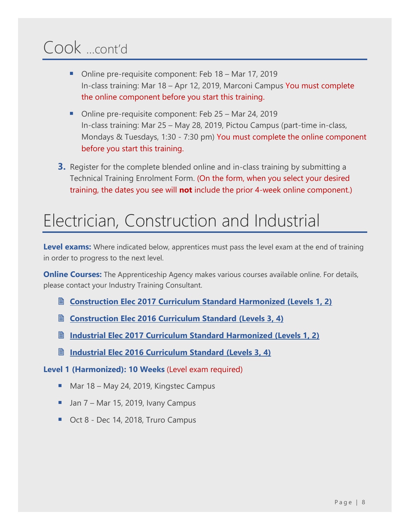# Cook …cont'd

- Online pre-requisite component: Feb 18 Mar 17, 2019 In-class training: Mar 18 – Apr 12, 2019, Marconi Campus You must complete the online component before you start this training.
- Online pre-requisite component: Feb 25 Mar 24, 2019 In-class training: Mar 25 – May 28, 2019, Pictou Campus (part-time in-class, Mondays & Tuesdays, 1:30 - 7:30 pm) You must complete the online component before you start this training.
- **3.** Register for the complete blended online and in-class training by submitting a Technical Training Enrolment Form. (On the form, when you select your desired training, the dates you see will **not** include the prior 4-week online component.)

### <span id="page-8-0"></span>Electrician, Construction and Industrial

Level exams: Where indicated below, apprentices must pass the level exam at the end of training in order to progress to the next level.

**Online Courses:** The Apprenticeship Agency makes various courses available online. For details, please contact your Industry Training Consultant.

- **Construction Elec 2017 [Curriculum Standard Harmonized \(Levels 1, 2\)](https://nsapprenticeship.ca/sites/default/files/docs/pubs/CElecAACS.pdf)**
- **Construction Elec 2016 [Curriculum Standard \(Levels 3,](https://nsapprenticeship.ca/sites/default/files/docs/pubs/CEIPG.pdf) 4)**
- **Industrial Elec 2017 [Curriculum Standard Harmonized \(Levels 1, 2\)](https://nsapprenticeship.ca/sites/default/files/docs/pubs/IEAACS.pdf)**
- **Industrial Elec 2016 [Curriculum Standard \(Levels 3, 4\)](https://nsapprenticeship.ca/sites/default/files/docs/pubs/IEIPG.pdf)**
- **Level 1 (Harmonized): 10 Weeks** (Level exam required)
	- Mar 18 May 24, 2019, Kingstec Campus
	- Jan 7 Mar 15, 2019, Ivany Campus
	- Oct 8 Dec 14, 2018, Truro Campus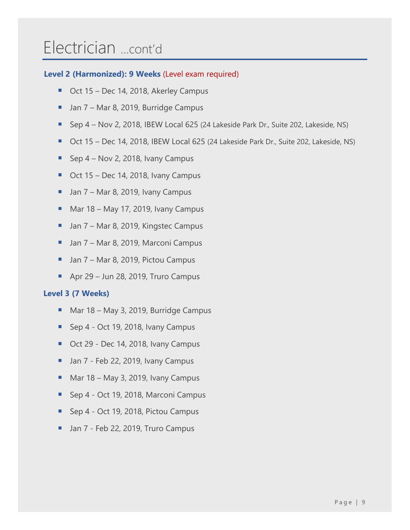### Electrician …cont'd

#### **Level 2 (Harmonized): 9 Weeks** (Level exam required)

- Oct 15 Dec 14, 2018, Akerley Campus
- Jan 7 Mar 8, 2019, Burridge Campus
- Sep 4 Nov 2, 2018, IBEW Local 625 (24 Lakeside Park Dr., Suite 202, Lakeside, NS)
- Oct 15 Dec 14, 2018, IBEW Local 625 (24 Lakeside Park Dr., Suite 202, Lakeside, NS)
- **E** Sep  $4$  Nov 2, 2018, Ivany Campus
- Oct 15 Dec 14, 2018, Ivany Campus
- $\blacksquare$  Jan 7 Mar 8, 2019, Ivany Campus
- Mar 18 May 17, 2019, Ivany Campus
- Jan 7 Mar 8, 2019, Kingstec Campus
- Jan 7 Mar 8, 2019, Marconi Campus
- Jan 7 Mar 8, 2019, Pictou Campus
- Apr 29 Jun 28, 2019, Truro Campus

#### **Level 3 (7 Weeks)**

- Mar 18 May 3, 2019, Burridge Campus
- Sep 4 Oct 19, 2018, Ivany Campus
- Oct 29 Dec 14, 2018, Ivany Campus
- Jan 7 Feb 22, 2019, Ivany Campus
- Mar 18 May 3, 2019, Ivany Campus
- Sep 4 Oct 19, 2018, Marconi Campus
- Sep 4 Oct 19, 2018, Pictou Campus
- Jan 7 Feb 22, 2019, Truro Campus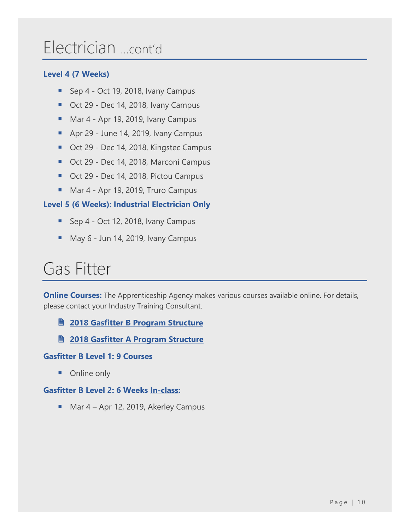### Electrician …cont'd

#### **Level 4 (7 Weeks)**

- Sep 4 Oct 19, 2018, Ivany Campus
- Oct 29 Dec 14, 2018, Ivany Campus
- Mar 4 Apr 19, 2019, Ivany Campus
- Apr 29 June 14, 2019, Ivany Campus
- Oct 29 Dec 14, 2018, Kingstec Campus
- Oct 29 Dec 14, 2018, Marconi Campus
- Oct 29 Dec 14, 2018, Pictou Campus
- Mar 4 Apr 19, 2019, Truro Campus

#### **Level 5 (6 Weeks): Industrial Electrician Only**

- Sep 4 Oct 12, 2018, Ivany Campus
- May 6 Jun 14, 2019, Ivany Campus

### <span id="page-10-0"></span>Gas Fitter

**Online Courses:** The Apprenticeship Agency makes various courses available online. For details, please contact your Industry Training Consultant.

- **2018 [Gasfitter B Program Structure](https://nsapprenticeship.ca/sites/default/files/docs/pubs/Gas-ClassB.pdf)**
- **<u><b>图 [2018 Gasfitter A Program Structure](https://nsapprenticeship.ca/sites/default/files/docs/pubs/Gas-ClassA.pdf)**</u>

#### **Gasfitter B Level 1: 9 Courses**

■ Online only

#### **Gasfitter B Level 2: 6 Weeks In-class:**

■ Mar 4 – Apr 12, 2019, Akerley Campus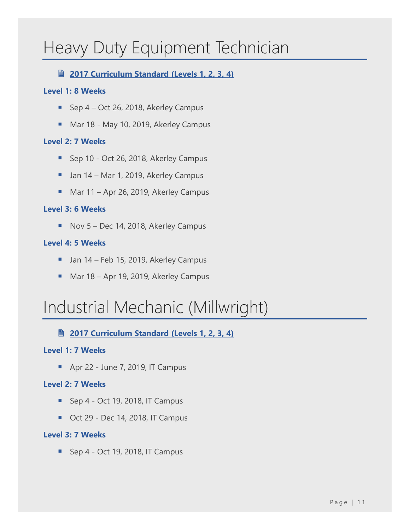### <span id="page-11-0"></span>Heavy Duty Equipment Technician

#### **2017 [Curriculum Standard \(Levels](https://nsapprenticeship.ca/sites/default/files/docs/pubs/HDNACS.pdf) 1, 2, 3, 4)**

#### **Level 1: 8 Weeks**

- Sep 4 Oct 26, 2018, Akerley Campus
- Mar 18 May 10, 2019, Akerley Campus

#### **Level 2: 7 Weeks**

- Sep 10 Oct 26, 2018, Akerley Campus
- Jan 14 Mar 1, 2019, Akerley Campus
- Mar 11 Apr 26, 2019, Akerley Campus

#### **Level 3: 6 Weeks**

■ Nov 5 – Dec 14, 2018, Akerley Campus

#### **Level 4: 5 Weeks**

- Jan 14 Feb 15, 2019, Akerley Campus
- Mar 18 Apr 19, 2019, Akerley Campus

### <span id="page-11-1"></span>Industrial Mechanic (Millwright)

**2017 [Curriculum Standard \(Levels 1, 2, 3, 4\)](https://nsapprenticeship.ca/sites/default/files/docs/pubs/IMMNACS.pdf)**

#### **Level 1: 7 Weeks**

■ Apr 22 - June 7, 2019, IT Campus

#### **Level 2: 7 Weeks**

- Sep 4 Oct 19, 2018, IT Campus
- Oct 29 Dec 14, 2018, IT Campus

#### **Level 3: 7 Weeks**

■ Sep 4 - Oct 19, 2018, IT Campus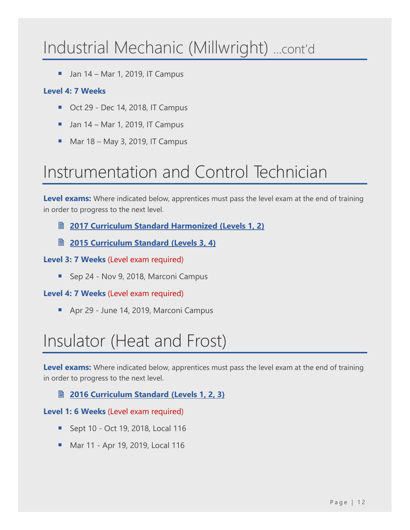### Industrial Mechanic (Millwright) …cont'd

 $\blacksquare$  Jan 14 – Mar 1, 2019, IT Campus

#### **Level 4: 7 Weeks**

- Oct 29 Dec 14, 2018, IT Campus
- $\blacksquare$  Jan 14 Mar 1, 2019, IT Campus
- $\blacksquare$  Mar 18 May 3, 2019, IT Campus

### <span id="page-12-0"></span>Instrumentation and Control Technician

**Level exams:** Where indicated below, apprentices must pass the level exam at the end of training in order to progress to the next level.

**2017 [Curriculum Standard Harmonized \(Levels](https://nsapprenticeship.ca/sites/default/files/docs/pubs/ICTAACS.pdf) 1, 2)**

**2015 [Curriculum Standard \(Levels 3,](https://www.nsapprenticeship.ca/sites/default/files/docs/pubs/ICTIPG.pdf) 4)** 

#### **Level 3: 7 Weeks** (Level exam required)

■ Sep 24 - Nov 9, 2018, Marconi Campus

#### **Level 4: 7 Weeks** (Level exam required)

■ Apr 29 - June 14, 2019, Marconi Campus

# <span id="page-12-1"></span>Insulator (Heat and Frost)

Level exams: Where indicated below, apprentices must pass the level exam at the end of training in order to progress to the next level.

#### **2016 [Curriculum Standard \(Levels 1, 2, 3\)](https://nsapprenticeship.ca/sites/default/files/docs/pubs/IHFACS.pdf)**

#### **Level 1: 6 Weeks** (Level exam required)

- Sept 10 Oct 19, 2018, Local 116
- Mar 11 Apr 19, 2019, Local 116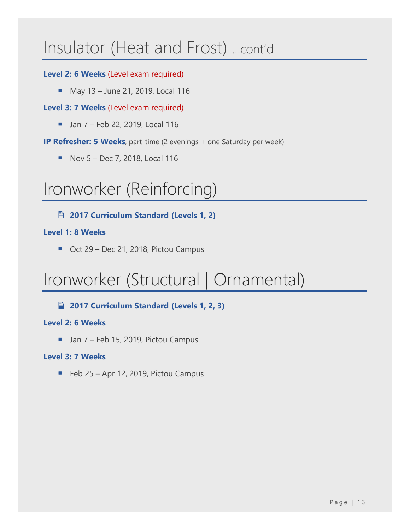### Insulator (Heat and Frost) …cont'd

#### **Level 2: 6 Weeks** (Level exam required)

■ May 13 – June 21, 2019, Local 116

#### **Level 3: 7 Weeks** (Level exam required)

■ Jan 7 – Feb 22, 2019, Local 116

**IP Refresher: 5 Weeks**, part-time (2 evenings + one Saturday per week)

 $\blacksquare$  Nov 5 – Dec 7, 2018, Local 116

### <span id="page-13-0"></span>Ironworker (Reinforcing)

**2017 [Curriculum Standard \(Levels 1, 2\)](https://nsapprenticeship.ca/sites/default/files/docs/pubs/IronRNACS.pdf)**

#### **Level 1: 8 Weeks**

■ Oct 29 – Dec 21, 2018, Pictou Campus

### <span id="page-13-1"></span>Ironworker (Structural | Ornamental)

**2017 [Curriculum Standard \(Levels 1, 2, 3\)](https://nsapprenticeship.ca/sites/default/files/docs/pubs/IronSONACS.pdf)**

#### **Level 2: 6 Weeks**

■ Jan 7 – Feb 15, 2019, Pictou Campus

#### **Level 3: 7 Weeks**

■ Feb 25 – Apr 12, 2019, Pictou Campus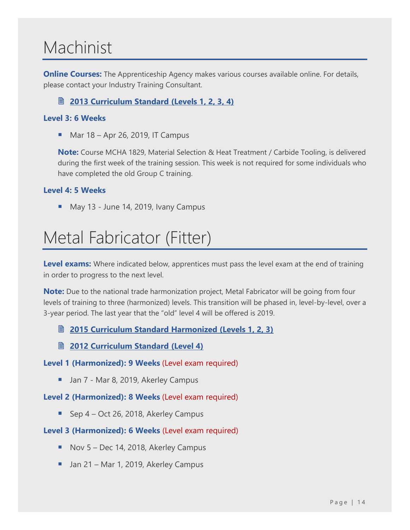# <span id="page-14-0"></span>Machinist

**Online Courses:** The Apprenticeship Agency makes various courses available online. For details, please contact your Industry Training Consultant.

#### **2013 [Curriculum Standard \(Levels 1, 2, 3, 4\)](https://nsapprenticeship.ca/sites/default/files/docs/pubs/MachIPG.pdf)**

#### **Level 3: 6 Weeks**

 $\blacksquare$  Mar 18 – Apr 26, 2019, IT Campus

**Note:** Course MCHA 1829, Material Selection & Heat Treatment / Carbide Tooling, is delivered during the first week of the training session. This week is not required for some individuals who have completed the old Group C training.

#### **Level 4: 5 Weeks**

■ May 13 - June 14, 2019, Ivany Campus

### <span id="page-14-1"></span>Metal Fabricator (Fitter)

**Level exams:** Where indicated below, apprentices must pass the level exam at the end of training in order to progress to the next level.

**Note:** Due to the national trade harmonization project, Metal Fabricator will be going from four levels of training to three (harmonized) levels. This transition will be phased in, level-by-level, over a 3-year period. The last year that the "old" level 4 will be offered is 2019.

- **2015 [Curriculum Standard Harmonized \(Levels 1, 2, 3\)](https://nsapprenticeship.ca/sites/default/files/docs/pubs/MFAACS.pdf)**
- **2012 [Curriculum Standard \(Level](https://nsapprenticeship.ca/sites/default/files/docs/pubs/MFIPG.pdf) 4)**

#### **Level 1 (Harmonized): 9 Weeks** (Level exam required)

■ Jan 7 - Mar 8, 2019, Akerley Campus

#### **Level 2 (Harmonized): 8 Weeks** (Level exam required)

■ Sep 4 – Oct 26, 2018, Akerley Campus

#### **Level 3 (Harmonized): 6 Weeks** (Level exam required)

- Nov 5 Dec 14, 2018, Akerley Campus
- Jan 21 Mar 1, 2019, Akerley Campus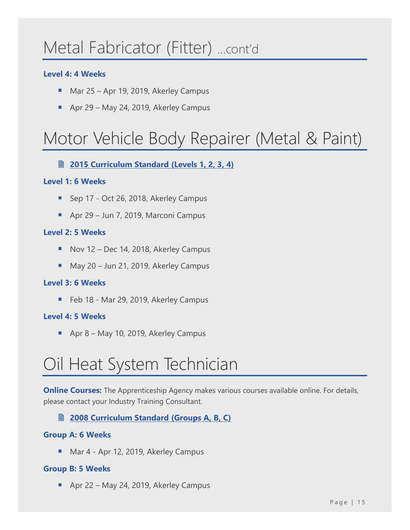### Metal Fabricator (Fitter) …cont'd

#### **Level 4: 4 Weeks**

- Mar 25 Apr 19, 2019, Akerley Campus
- Apr 29 May 24, 2019, Akerley Campus

# <span id="page-15-0"></span>Motor Vehicle Body Repairer (Metal & Paint)

#### **2015 [Curriculum Standard \(Levels 1, 2, 3, 4\)](https://nsapprenticeship.ca/sites/default/files/docs/pubs/MVBRIPG2.pdf)**

#### **Level 1: 6 Weeks**

- Sep 17 Oct 26, 2018, Akerley Campus
- Apr 29 Jun 7, 2019, Marconi Campus

#### **Level 2: 5 Weeks**

- Nov 12 Dec 14, 2018, Akerley Campus
- May 20 Jun 21, 2019, Akerley Campus

#### **Level 3: 6 Weeks**

■ Feb 18 - Mar 29, 2019, Akerley Campus

#### **Level 4: 5 Weeks**

■ Apr 8 – May 10, 2019, Akerley Campus

# <span id="page-15-1"></span>Oil Heat System Technician

**Online Courses:** The Apprenticeship Agency makes various courses available online. For details, please contact your Industry Training Consultant.

#### **2008 [Curriculum Standard \(Groups A, B, C\)](https://nsapprenticeship.ca/sites/default/files/docs/pubs/OHSTACS.pdf)**

#### **Group A: 6 Weeks**

■ Mar 4 - Apr 12, 2019, Akerley Campus

#### **Group B: 5 Weeks**

■ Apr 22 – May 24, 2019, Akerley Campus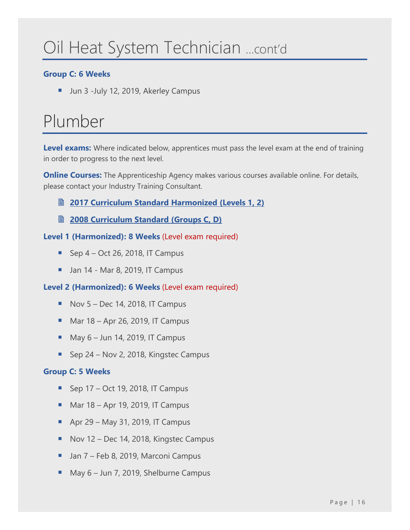# Oil Heat System Technician …cont'd

#### **Group C: 6 Weeks**

■ Jun 3 -July 12, 2019, Akerley Campus

# <span id="page-16-0"></span>Plumber

**Level exams:** Where indicated below, apprentices must pass the level exam at the end of training in order to progress to the next level.

**Online Courses:** The Apprenticeship Agency makes various courses available online. For details, please contact your Industry Training Consultant.

- **2017 [Curriculum Standard Harmonized \(Levels 1, 2\)](https://nsapprenticeship.ca/sites/default/files/docs/pubs/PlumbAACS.pdf)**
- **2008 [Curriculum Standard \(Groups C, D\)](https://nsapprenticeship.ca/sites/default/files/docs/pubs/PlumbACS.pdf)**

#### **Level 1 (Harmonized): 8 Weeks** (Level exam required)

- **E** Sep  $4$  Oct 26, 2018, IT Campus
- $\blacksquare$  Jan 14 Mar 8, 2019, IT Campus

#### **Level 2 (Harmonized): 6 Weeks** (Level exam required)

- $\blacksquare$  Nov 5 Dec 14, 2018, IT Campus
- $\blacksquare$  Mar 18 Apr 26, 2019, IT Campus
- $\blacksquare$  May 6 Jun 14, 2019, IT Campus
- Sep 24 Nov 2, 2018, Kingstec Campus

#### **Group C: 5 Weeks**

- $\blacksquare$  Sep 17 Oct 19, 2018, IT Campus
- $\blacksquare$  Mar 18 Apr 19, 2019, IT Campus
- $\blacksquare$  Apr 29 May 31, 2019, IT Campus
- Nov 12 Dec 14, 2018, Kingstec Campus
- Jan 7 Feb 8, 2019, Marconi Campus
- May 6 Jun 7, 2019, Shelburne Campus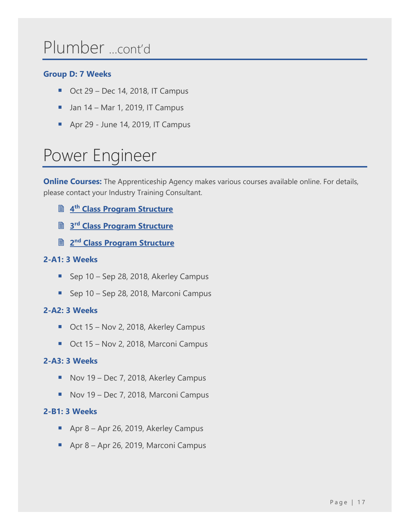### Plumber …cont'd

#### **Group D: 7 Weeks**

- $\blacksquare$  Oct 29 Dec 14, 2018, IT Campus
- $\blacksquare$  Jan 14 Mar 1, 2019, IT Campus
- Apr 29 June 14, 2019, IT Campus

# <span id="page-17-0"></span>Power Engineer

**Online Courses:** The Apprenticeship Agency makes various courses available online. For details, please contact your Industry Training Consultant.

- **4 th [Class Program Structure](https://nsapprenticeship.ca/sites/default/files/docs/pubs/PowerEngineer4th.pdf)**
- **3 rd [Class Program Structure](https://nsapprenticeship.ca/sites/default/files/docs/pubs/PowerEngineer3rd.pdf)**
- **2 nd [Class Program Structure](https://nsapprenticeship.ca/sites/default/files/docs/pubs/PowerEngineer2nd.pdf)**

#### **2-A1: 3 Weeks**

- Sep 10 Sep 28, 2018, Akerley Campus
- Sep 10 Sep 28, 2018, Marconi Campus

#### **2-A2: 3 Weeks**

- Oct 15 Nov 2, 2018, Akerley Campus
- Oct 15 Nov 2, 2018, Marconi Campus

#### **2-A3: 3 Weeks**

- Nov 19 Dec 7, 2018, Akerley Campus
- Nov 19 Dec 7, 2018, Marconi Campus

#### **2-B1: 3 Weeks**

- Apr 8 Apr 26, 2019, Akerley Campus
- Apr 8 Apr 26, 2019, Marconi Campus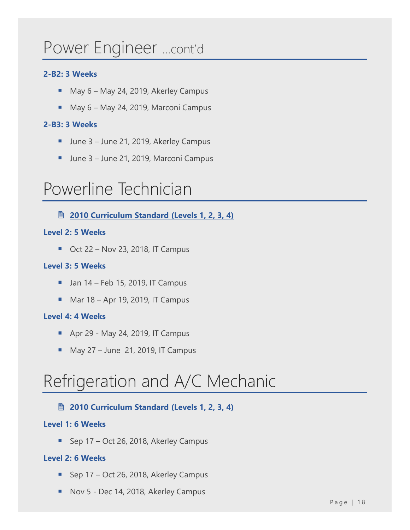### Power Engineer …cont'd

#### **2-B2: 3 Weeks**

- May 6 May 24, 2019, Akerley Campus
- May 6 May 24, 2019, Marconi Campus

#### **2-B3: 3 Weeks**

- June 3 June 21, 2019, Akerley Campus
- June 3 June 21, 2019, Marconi Campus

### <span id="page-18-0"></span>Powerline Technician

**2010 [Curriculum Standard \(Levels 1, 2, 3, 4\)](https://nsapprenticeship.ca/sites/default/files/docs/pubs/PowerACS.pdf)**

#### **Level 2: 5 Weeks**

 $\blacksquare$  Oct 22 – Nov 23, 2018, IT Campus

#### **Level 3: 5 Weeks**

- $\blacksquare$  Jan 14 Feb 15, 2019, IT Campus
- $\blacksquare$  Mar 18 Apr 19, 2019, IT Campus

#### **Level 4: 4 Weeks**

- Apr 29 May 24, 2019, IT Campus
- $M$  May 27 June 21, 2019, IT Campus

### <span id="page-18-1"></span>Refrigeration and A/C Mechanic

#### **2010 [Curriculum Standard \(Levels 1, 2, 3, 4\)](https://nsapprenticeship.ca/sites/default/files/docs/pubs/RACMIPG.pdf)**

#### **Level 1: 6 Weeks**

■ Sep 17 – Oct 26, 2018, Akerley Campus

#### **Level 2: 6 Weeks**

- Sep 17 Oct 26, 2018, Akerley Campus
- Nov 5 Dec 14, 2018, Akerley Campus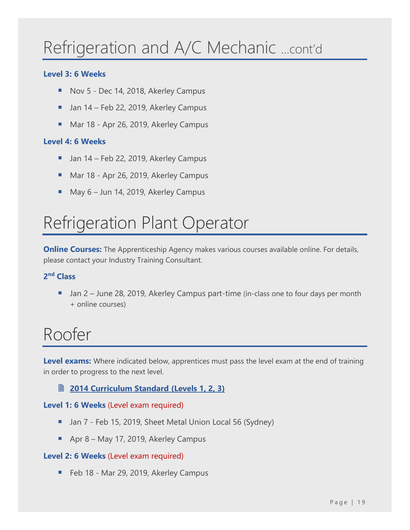# Refrigeration and A/C Mechanic …cont'd

#### **Level 3: 6 Weeks**

- Nov 5 Dec 14, 2018, Akerley Campus
- Jan 14 Feb 22, 2019, Akerley Campus
- Mar 18 Apr 26, 2019, Akerley Campus

#### **Level 4: 6 Weeks**

- Jan 14 Feb 22, 2019, Akerley Campus
- Mar 18 Apr 26, 2019, Akerley Campus
- May 6 Jun 14, 2019, Akerley Campus

### <span id="page-19-0"></span>Refrigeration Plant Operator

**Online Courses:** The Apprenticeship Agency makes various courses available online. For details, please contact your Industry Training Consultant.

#### **2 nd Class**

Jan 2 – June 28, 2019, Akerley Campus part-time (in-class one to four days per month + online courses)

### <span id="page-19-1"></span>Roofer

**Level exams:** Where indicated below, apprentices must pass the level exam at the end of training in order to progress to the next level.

#### **2014 [Curriculum Standard \(Levels 1, 2, 3\)](https://nsapprenticeship.ca/sites/default/files/docs/pubs/RoofACS.pdf)**

#### **Level 1: 6 Weeks** (Level exam required)

- Jan 7 Feb 15, 2019, Sheet Metal Union Local 56 (Sydney)
- Apr 8 May 17, 2019, Akerley Campus

#### **Level 2: 6 Weeks** (Level exam required)

■ Feb 18 - Mar 29, 2019, Akerley Campus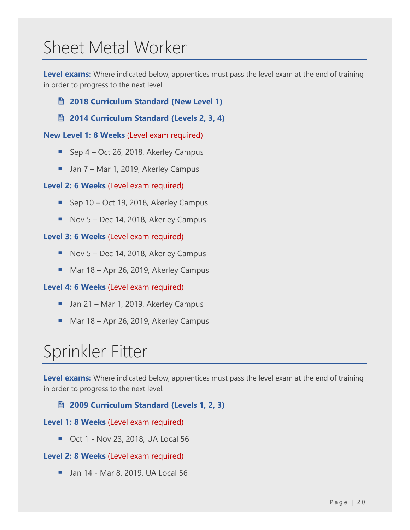### <span id="page-20-0"></span>Sheet Metal Worker

**Level exams:** Where indicated below, apprentices must pass the level exam at the end of training in order to progress to the next level.

- **2018 [Curriculum Standard \(New Level 1\)](https://nsapprenticeship.ca/sites/default/files/docs/pubs/SMNACS.pdf)**
- **2014 [Curriculum Standard \(Levels 2, 3, 4\)](https://nsapprenticeship.ca/sites/default/files/docs/pubs/SMIPG.pdf)**

**New Level 1: 8 Weeks** (Level exam required)

- Sep 4 Oct 26, 2018, Akerley Campus
- Jan 7 Mar 1, 2019, Akerley Campus

#### **Level 2: 6 Weeks** (Level exam required)

- Sep 10 Oct 19, 2018, Akerley Campus
- Nov 5 Dec 14, 2018, Akerley Campus

#### **Level 3: 6 Weeks** (Level exam required)

- Nov 5 Dec 14, 2018, Akerley Campus
- Mar 18 Apr 26, 2019, Akerley Campus

#### **Level 4: 6 Weeks** (Level exam required)

- Jan 21 Mar 1, 2019, Akerley Campus
- Mar 18 Apr 26, 2019, Akerley Campus

# <span id="page-20-1"></span>Sprinkler Fitter

**Level exams:** Where indicated below, apprentices must pass the level exam at the end of training in order to progress to the next level.

#### **2009 [Curriculum Standard \(Levels 1, 2, 3\)](https://nsapprenticeship.ca/sites/default/files/docs/pubs/SSIIPG.pdf)**

#### **Level 1: 8 Weeks** (Level exam required)

■ Oct 1 - Nov 23, 2018, UA Local 56

#### **Level 2: 8 Weeks** (Level exam required)

■ Jan 14 - Mar 8, 2019, UA Local 56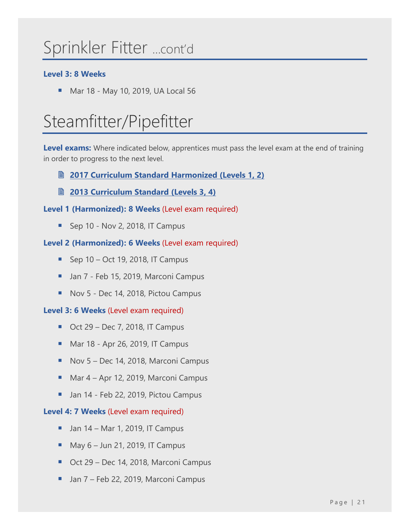# Sprinkler Fitter …cont'd

#### **Level 3: 8 Weeks**

■ Mar 18 - May 10, 2019, UA Local 56

# <span id="page-21-0"></span>Steamfitter/Pipefitter

**Level exams:** Where indicated below, apprentices must pass the level exam at the end of training in order to progress to the next level.

- **2017 [Curriculum Standard Harmonized \(Levels](https://nsapprenticeship.ca/sites/default/files/docs/pubs/SteamAACS.pdf) 1, 2)**
- **2013 [Curriculum Standard \(Levels](https://nsapprenticeship.ca/sites/default/files/docs/pubs/SteamIPG.pdf) 3, 4)**

**Level 1 (Harmonized): 8 Weeks** (Level exam required)

 $\blacksquare$  Sep 10 - Nov 2, 2018, IT Campus

#### **Level 2 (Harmonized): 6 Weeks** (Level exam required)

- $\blacksquare$  Sep 10 Oct 19, 2018, IT Campus
- Jan 7 Feb 15, 2019, Marconi Campus
- Nov 5 Dec 14, 2018, Pictou Campus

#### **Level 3: 6 Weeks** (Level exam required)

- $\blacksquare$  Oct 29 Dec 7, 2018, IT Campus
- Mar 18 Apr 26, 2019, IT Campus
- Nov 5 Dec 14, 2018, Marconi Campus
- Mar 4 Apr 12, 2019, Marconi Campus
- Jan 14 Feb 22, 2019, Pictou Campus

#### **Level 4: 7 Weeks** (Level exam required)

- $\blacksquare$  Jan 14 Mar 1, 2019, IT Campus
- $M$  May 6 Jun 21, 2019, IT Campus
- Oct 29 Dec 14, 2018, Marconi Campus
- Jan 7 Feb 22, 2019, Marconi Campus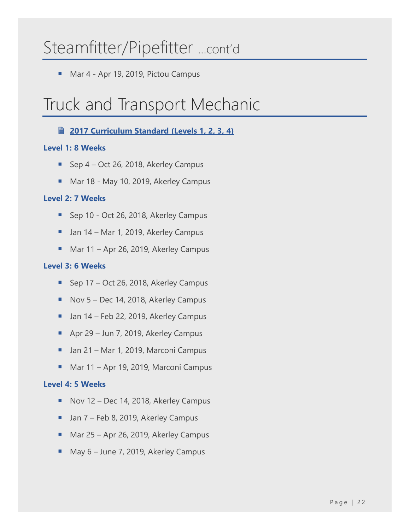### Steamfitter/Pipefitter …cont'd

■ Mar 4 - Apr 19, 2019, Pictou Campus

### <span id="page-22-0"></span>Truck and Transport Mechanic

#### **2017 [Curriculum Standard \(Levels](https://nsapprenticeship.ca/sites/default/files/docs/pubs/TTMNACS.pdf) 1, 2, 3, 4)**

#### **Level 1: 8 Weeks**

- Sep  $4$  Oct 26, 2018, Akerley Campus
- Mar 18 May 10, 2019, Akerley Campus

#### **Level 2: 7 Weeks**

- Sep 10 Oct 26, 2018, Akerley Campus
- Jan 14 Mar 1, 2019, Akerley Campus
- Mar 11 Apr 26, 2019, Akerley Campus

#### **Level 3: 6 Weeks**

- Sep 17 Oct 26, 2018, Akerley Campus
- Nov 5 Dec 14, 2018, Akerley Campus
- Jan 14 Feb 22, 2019, Akerley Campus
- Apr 29 Jun 7, 2019, Akerley Campus
- Jan 21 Mar 1, 2019, Marconi Campus
- Mar 11 Apr 19, 2019, Marconi Campus

#### **Level 4: 5 Weeks**

- Nov 12 Dec 14, 2018, Akerley Campus
- Jan 7 Feb 8, 2019, Akerley Campus
- Mar 25 Apr 26, 2019, Akerley Campus
- May 6 June 7, 2019, Akerley Campus